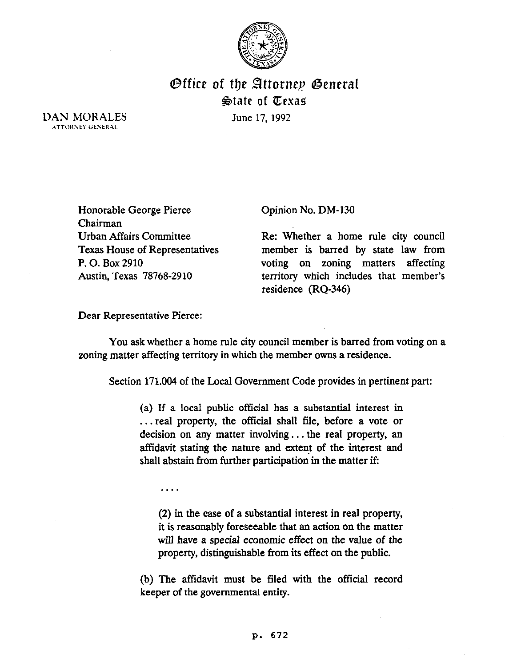

## Office of tip 8ttornep @eneral  $\mathfrak{S}$ tate of  $\mathfrak{C}$ exas

DAN MORALES **ATTORNEY GENERAL** 

June 17, 1992

Honorable George Pierce Chairman Urban Affairs Committee Texas House of Representatives P. 0. Box 2910 Austin, Texas 78768-2910

Opinion No. DM-130

Re: Whether a home rule city council member is barred by state law from voting on zoning matters affecting territory which includes that member's residence (RQ-346)

Dear Representative Pierce:

You ask whether a home rule city council member is barred from voting on a zoning matter affecting territory in which the member owns a residence.

Section 171.004 of the Local Government Code provides in pertinent part:

(a) If a local public official has a substantial interest in . . . real property, the official shall file, before a vote or decision on any matter involving. . . the real property, an affidavit stating the nature and extent of the interest and shall abstain from further participation in the matter if:

. . . .

(2) in the case of a substantial interest in real property, it is reasonably foreseeable that an action on the matter will have a special economic effect on the value of the property, distinguishable from its effect on the public.

(b) The affidavit must be filed with the official record keeper of the governmental entity.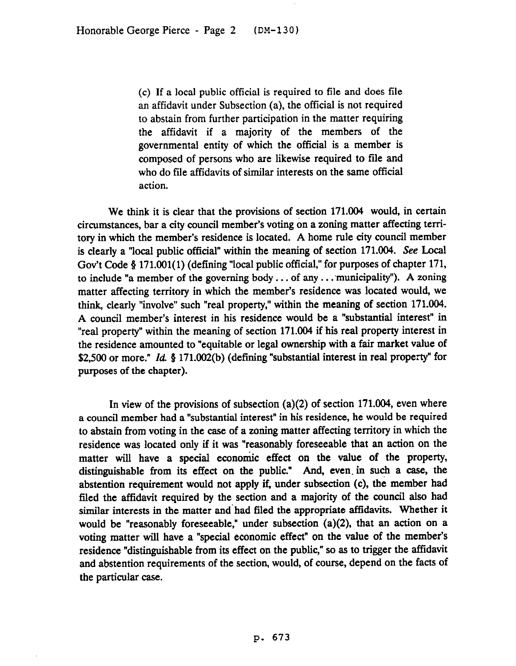(c) If a local public official is required to file and does file an affidavit under Subsection (a), the official is not required to abstain from further participation in the matter requiring the affidavit if a majority of the members of the governmental entity of which the official is a member is composed of persons who are likewise required to tile and who do file affidavits of similar interests on the same official action.

We think it is clear that the provisions of section 171.004 would, in certain circumstances, bar a city council member's voting on a zoning matter affecting territory in which the member's residence is located. A home rule city council member is clearly a "local public official" within the meaning of section 171.004. See Local Gov't Code § 171.001(1) (defining "local public official," for purposes of chapter 171, to include "a member of the governing body  $\dots$  of any  $\dots$  municipality"). A zoning matter affecting territory in which the member's residence was located would, we think, clearly "involve" such "real property," within the meaning of section 171.004. A council member's interest in his residence would be a "substantial interest" in "real property" within the meaning of section 171.004 if his real property interest in the residence amounted to "equitable or legal ownership with a fair market value of \$2,500 or more." Id.  $$ 171.002(b)$  (defining "substantial interest in real property" for purposes of the chapter).

In view of the provisions of subsection  $(a)(2)$  of section 171.004, even where a council member had a "substantial interest" in his residence, he would be required to abstain from voting in the case of a zoning matter affecting territory in which the residence was located only if it was "reasonably foreseeable that an action on the matter will have a special economic effect on the value of the property, distinguishable from its effect on the public." And, even. in such a case, the abstention requirement would not apply it, under subsection (c), the member had filed the affidavit required by the section and a majority of the council also had similar interests in the matter and'had filed the appropriate affidavits. Whether it would be "reasonably foreseeable," under subsection (a)(2), that an action on a voting matter will have a "special economic effect" on the value of the member's residence "distinguishable from its effect on the public," so as to trigger the affidavit and abstention requirements of the section, would, of course, depend on the facts of the particular case.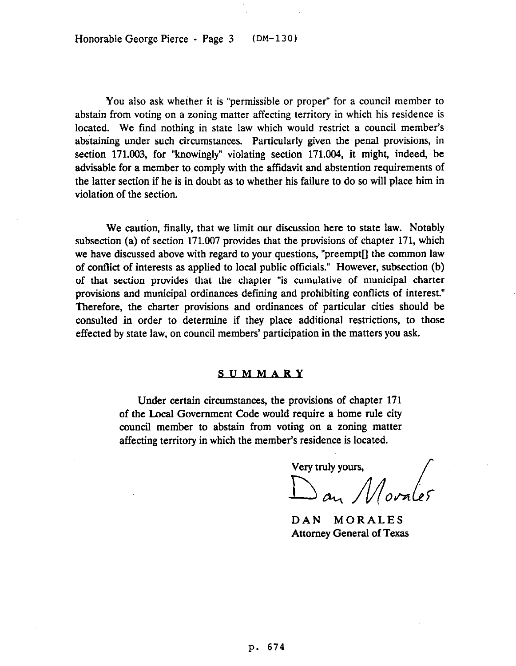You also ask whether it is "permissible or proper" for a council member to abstain from voting on a zoning matter affecting territory in which his residence is located. We find nothing in state law which would restrict a council member's abstaining under such circumstances. Particularly given the penal provisions, in section 171.003, for "knowingly" violating section 171.004, it might, indeed, be advisable for a member to comply with the affidavit and abstention requirements of the latter section if he is in doubt as to whether his failure to do so will place him in violation of the section.

We caution, finally, that we limit our discussion here to state law. Notably subsection (a) of section 171.007 provides that the provisions of chapter 171, which we have discussed above with regard to your questions, "preempt[] the common law of conflict of interests as applied to local public officials." However, subsection (b) of that section provides that the chapter "is cumulative of municipal charter provisions and municipal ordinances defining and prohibiting conflicts of interest." Therefore, the charter provisions and ordinances of particular cities should be consulted in order to determine if they place additional restrictions, to those effected by state law, on council members' participation in the matters you ask.

## SUMMARY

Under certain circumstances, the provisions of chapter 171 of the Local Government Code would require a home rule city council member to abstain from voting on a zoning matter affecting territory in which the member's residence is located.

Very truly yours,

 $\int$  and  $\int$  orales

DAN MORALES Attorney General of Texas